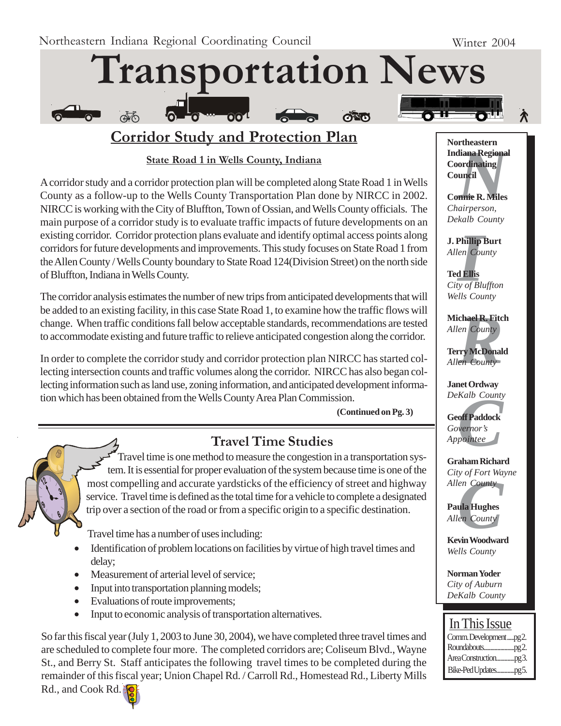

# **Corridor Study and Protection Plan**

## **State Road 1 in Wells County, Indiana**

A corridor study and a corridor protection plan will be completed along State Road 1 in Wells County as a follow-up to the Wells County Transportation Plan done by NIRCC in 2002. NIRCC is working with the City of Bluffton, Town of Ossian, and Wells County officials. The main purpose of a corridor study is to evaluate traffic impacts of future developments on an existing corridor. Corridor protection plans evaluate and identify optimal access points along corridors for future developments and improvements. This study focuses on State Road 1 from the Allen County / Wells County boundary to State Road 124(Division Street) on the north side of Bluffton, Indiana in Wells County.

The corridor analysis estimates the number of new trips from anticipated developments that will be added to an existing facility, in this case State Road 1, to examine how the traffic flows will change. When traffic conditions fall below acceptable standards, recommendations are tested to accommodate existing and future traffic to relieve anticipated congestion along the corridor.

In order to complete the corridor study and corridor protection plan NIRCC has started collecting intersection counts and traffic volumes along the corridor. NIRCC has also began collecting information such as land use, zoning information, and anticipated development information which has been obtained from the Wells County Area Plan Commission.

**(Continued on Pg. 3)**



# **Travel Time Studies**

Travel time is one method to measure the congestion in a transportation system. It is essential for proper evaluation of the system because time is one of the most compelling and accurate yardsticks of the efficiency of street and highway service. Travel time is defined as the total time for a vehicle to complete a designated trip over a section of the road or from a specific origin to a specific destination.

Travel time has a number of uses including:

- Identification of problem locations on facilities by virtue of high travel times and delay;
- Measurement of arterial level of service;
- Input into transportation planning models;
- Evaluations of route improvements;
- Input to economic analysis of transportation alternatives.

So far this fiscal year (July 1, 2003 to June 30, 2004), we have completed three travel times and are scheduled to complete four more. The completed corridors are; Coliseum Blvd., Wayne St., and Berry St. Staff anticipates the following travel times to be completed during the remainder of this fiscal year; Union Chapel Rd. / Carroll Rd., Homestead Rd., Liberty Mills

Rd., and Cook Rd.



## *N*<br>**Iliana Regiona<br>ordinating<br>uncil<br><b>nnie R. Miles**<br>airperson, **Northeastern Indiana Regional Coordinating Council**

**Connie R. Miles** *Chairperson, Dekalb County*

**J. Phillip Burt** *Allen County*

**Phillip**<br>*I*<br>**I**<br>**III**<br>*III*<br>*III*<br>*III*<br>*II* **Ted Ellis** *City of Bluffton Wells County*

**chael R. Fitc**<br> *en County*<br> **rry McDonal**<br> *en County* **Michael R. Fitch** *Allen County*

**Terry McDonald** *Allen County*

**Janet Ordway** *DeKalb County*

*Kalb County*<br>**off Paddock**<br>vernor's<br>pointee **Geoff Paddock** *Governor's Appointee*

**Graham Richard** *City of Fort Wayne*

*Cuy of Port wallen County*<br>**Paula Hughes<br>***Allen County*<br>**Kevin Woodwar Paula Hughes** *Allen County*

**Kevin Woodward** *Wells County*

**Norman Yoder** *City of Auburn DeKalb County*



Area Construction.............pg 3. Bike-Ped Updates.............pg 5.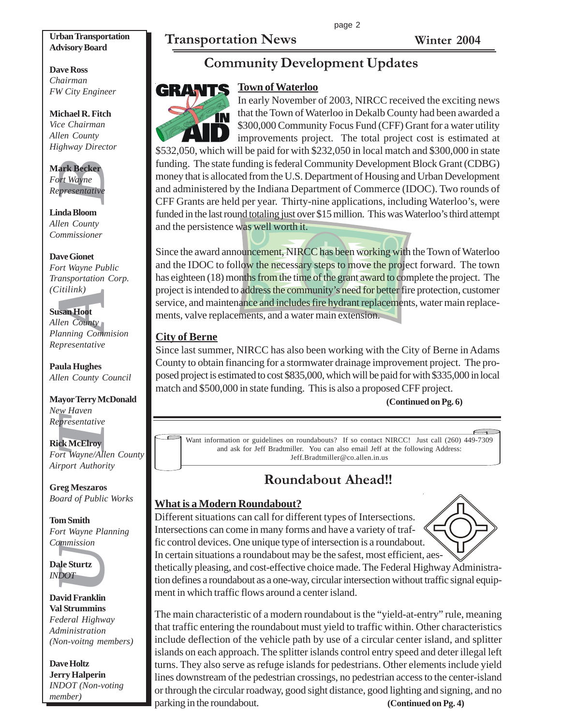page 2

# **Transportation News Winter 2004**

#### **Urban Transportation Advisory Board**

**Dave Ross** *Chairman FW City Engineer*

#### **Michael R. Fitch** *Vice Chairman Allen County Highway Director*

#### **Mark Becker** *Fort Wayne Representative*

**Linda Bloom** *Allen County Commissioner*

# **Dave Gionet**

*Fort Wayne Public Transportation Corp. (Citilink)*

## **Susan Hoot**

*Allen County Planning Commision Representative*

**Paula Hughes** *Allen County Council*

# **EXECT:**<br>
Fournance Section Presentative<br>
Presentative<br>
India Bloom<br>
In County<br>
Den County<br>
Den County<br>
Den County<br>
In County<br>
In County<br>
In County<br>
Den County<br>
Den County<br>
Den County<br>
Den County<br>
Den County<br>
Den County<br>
D **Mayor Terry McDonald** *New Haven Representative*

**Rick McElroy** *Fort Wayne/Allen County*

*Airport Authority*

## **Greg Meszaros** *Board of Public Works*

#### **Tom Smith** *Fort Wayne Planning Commission*

**Dale Sturtz** *INDOT*

#### **David Franklin Val Strummins** *Federal Highway Administration (Non-voitng members)*

**Dave Holtz Jerry Halperin** *INDOT (Non-voting member)*

# **Community Development Updates**

# **Town of Waterloo**



In early November of 2003, NIRCC received the exciting news that the Town of Waterloo in Dekalb County had been awarded a \$300,000 Community Focus Fund (CFF) Grant for a water utility improvements project. The total project cost is estimated at \$532,050, which will be paid for with \$232,050 in local match and \$300,000 in state

funding. The state funding is federal Community Development Block Grant (CDBG) money that is allocated from the U.S. Department of Housing and Urban Development and administered by the Indiana Department of Commerce (IDOC). Two rounds of CFF Grants are held per year. Thirty-nine applications, including Waterloo's, were funded in the last round totaling just over \$15 million. This was Waterloo's third attempt and the persistence was well worth it.

Since the award announcement, NIRCC has been working with the Town of Waterloo and the IDOC to follow the necessary steps to move the project forward. The town has eighteen (18) months from the time of the grant award to complete the project. The project is intended to address the community's need for better fire protection, customer service, and maintenance and includes fire hydrant replacements, water main replacements, valve replacements, and a water main extension.

## **City of Berne**

Since last summer, NIRCC has also been working with the City of Berne in Adams County to obtain financing for a stormwater drainage improvement project. The proposed project is estimated to cost \$835,000, which will be paid for with \$335,000 in local match and \$500,000 in state funding. This is also a proposed CFF project.

## **(Continued on Pg. 6)**

 $\subset$ Want information or guidelines on roundabouts? If so contact NIRCC! Just call (260) 449-7309 and ask for Jeff Bradtmiller. You can also email Jeff at the following Address: Jeff.Bradtmiller@co.allen.in.us

# **Roundabout Ahead!!**

## **What is a Modern Roundabout?**

Different situations can call for different types of Intersections. Intersections can come in many forms and have a variety of traffic control devices. One unique type of intersection is a roundabout. In certain situations a roundabout may be the safest, most efficient, aes-



thetically pleasing, and cost-effective choice made. The Federal Highway Administration defines a roundabout as a one-way, circular intersection without traffic signal equipment in which traffic flows around a center island.

The main characteristic of a modern roundabout is the "yield-at-entry" rule, meaning that traffic entering the roundabout must yield to traffic within. Other characteristics include deflection of the vehicle path by use of a circular center island, and splitter islands on each approach. The splitter islands control entry speed and deter illegal left turns. They also serve as refuge islands for pedestrians. Other elements include yield lines downstream of the pedestrian crossings, no pedestrian access to the center-island or through the circular roadway, good sight distance, good lighting and signing, and no parking in the roundabout. **(Continued on Pg. 4)**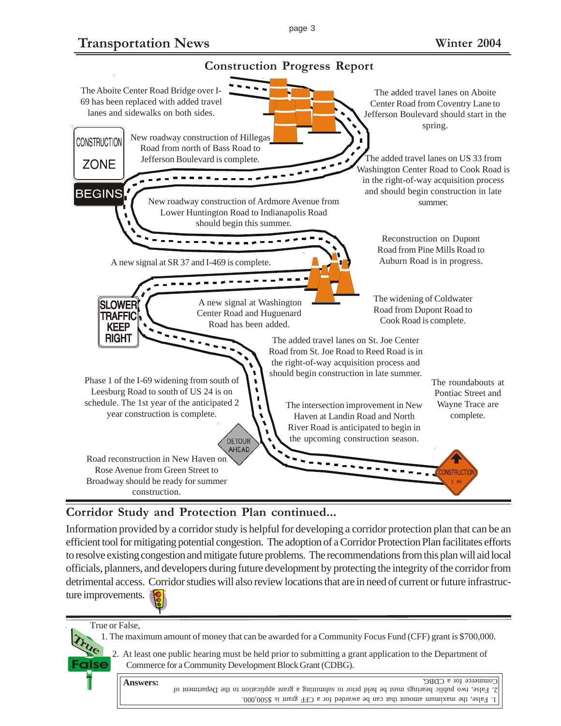**Transportation News Winter 2004**



## **Corridor Study and Protection Plan continued...**

Information provided by a corridor study is helpful for developing a corridor protection plan that can be an efficient tool for mitigating potential congestion. The adoption of a Corridor Protection Plan facilitates efforts to resolve existing congestion and mitigate future problems. The recommendations from this plan will aid local officials, planners, and developers during future development by protecting the integrity of the corridor from detrimental access. Corridor studies will also review locations that are in need of current or future infrastructure improvements.

True or False,

**True**

False

1. The maximum amount of money that can be awarded for a Community Focus Fund (CFF) grant is \$700,000.

2. At least one public hearing must be held prior to submitting a grant application to the Department of Commerce for a Community Development Block Grant (CDBG).



1. False, the maximum amount that can be awarded for a FIG and a S500,000. 2. False, two public hearings must be held prior to submitting a grant application to the Department of Commerce for a CDBG.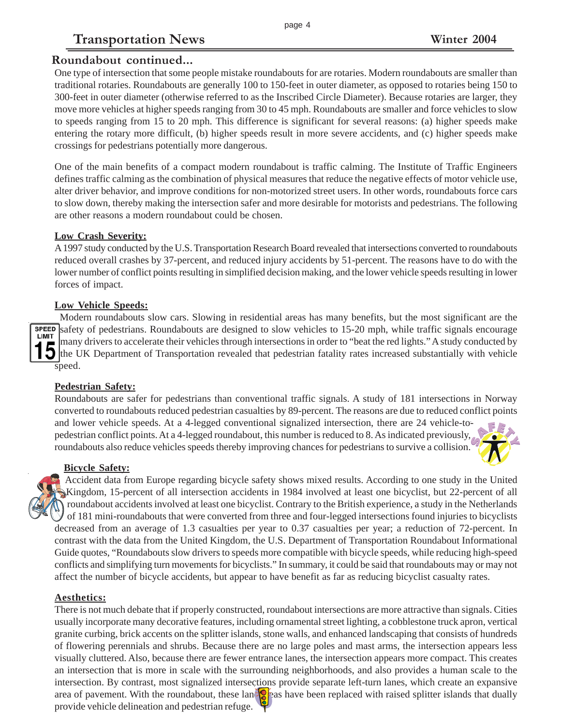# **Transportation News Winter 2004**

## **Roundabout continued...**

One type of intersection that some people mistake roundabouts for are rotaries. Modern roundabouts are smaller than traditional rotaries. Roundabouts are generally 100 to 150-feet in outer diameter, as opposed to rotaries being 150 to 300-feet in outer diameter (otherwise referred to as the Inscribed Circle Diameter). Because rotaries are larger, they move more vehicles at higher speeds ranging from 30 to 45 mph. Roundabouts are smaller and force vehicles to slow to speeds ranging from 15 to 20 mph. This difference is significant for several reasons: (a) higher speeds make entering the rotary more difficult, (b) higher speeds result in more severe accidents, and (c) higher speeds make crossings for pedestrians potentially more dangerous.

One of the main benefits of a compact modern roundabout is traffic calming. The Institute of Traffic Engineers defines traffic calming as the combination of physical measures that reduce the negative effects of motor vehicle use, alter driver behavior, and improve conditions for non-motorized street users. In other words, roundabouts force cars to slow down, thereby making the intersection safer and more desirable for motorists and pedestrians. The following are other reasons a modern roundabout could be chosen.

#### **Low Crash Severity:**

A 1997 study conducted by the U.S. Transportation Research Board revealed that intersections converted to roundabouts reduced overall crashes by 37-percent, and reduced injury accidents by 51-percent. The reasons have to do with the lower number of conflict points resulting in simplified decision making, and the lower vehicle speeds resulting in lower forces of impact.

#### **Low Vehicle Speeds:**

Modern roundabouts slow cars. Slowing in residential areas has many benefits, but the most significant are the safety of pedestrians. Roundabouts are designed to slow vehicles to 15-20 mph, while traffic signals encourage many drivers to accelerate their vehicles through intersections in order to "beat the red lights." A study conducted by the UK Department of Transportation revealed that pedestrian fatality rates increased substantially with vehicle speed.

#### **Pedestrian Safety:**

Roundabouts are safer for pedestrians than conventional traffic signals. A study of 181 intersections in Norway converted to roundabouts reduced pedestrian casualties by 89-percent. The reasons are due to reduced conflict points and lower vehicle speeds. At a 4-legged conventional signalized intersection, there are 24 vehicle-topedestrian conflict points. At a 4-legged roundabout, this number is reduced to 8. As indicated previously, roundabouts also reduce vehicles speeds thereby improving chances for pedestrians to survive a collision.

#### **Bicycle Safety:**

Accident data from Europe regarding bicycle safety shows mixed results. According to one study in the United Kingdom, 15-percent of all intersection accidents in 1984 involved at least one bicyclist, but 22-percent of all roundabout accidents involved at least one bicyclist. Contrary to the British experience, a study in the Netherlands  $\checkmark$  of 181 mini-roundabouts that were converted from three and four-legged intersections found injuries to bicyclists decreased from an average of 1.3 casualties per year to 0.37 casualties per year; a reduction of 72-percent. In contrast with the data from the United Kingdom, the U.S. Department of Transportation Roundabout Informational Guide quotes, "Roundabouts slow drivers to speeds more compatible with bicycle speeds, while reducing high-speed conflicts and simplifying turn movements for bicyclists." In summary, it could be said that roundabouts may or may not affect the number of bicycle accidents, but appear to have benefit as far as reducing bicyclist casualty rates.

#### **Aesthetics:**

There is not much debate that if properly constructed, roundabout intersections are more attractive than signals. Cities usually incorporate many decorative features, including ornamental street lighting, a cobblestone truck apron, vertical granite curbing, brick accents on the splitter islands, stone walls, and enhanced landscaping that consists of hundreds of flowering perennials and shrubs. Because there are no large poles and mast arms, the intersection appears less visually cluttered. Also, because there are fewer entrance lanes, the intersection appears more compact. This creates an intersection that is more in scale with the surrounding neighborhoods, and also provides a human scale to the intersection. By contrast, most signalized intersections provide separate left-turn lanes, which create an expansive area of pavement. With the roundabout, these lane  $\mathbf{S}$  as have been replaced with raised splitter islands that dually provide vehicle delineation and pedestrian refuge.



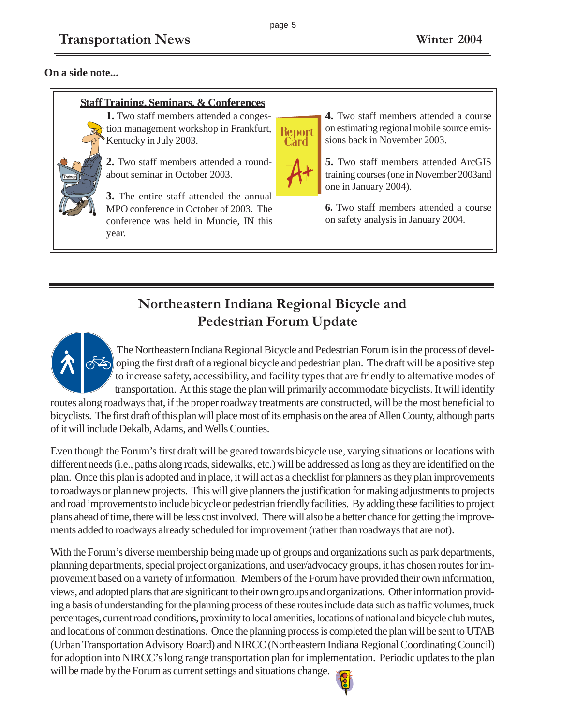## **On a side note...**

#### **Staff Training, Seminars, & Conferences**

**1.** Two staff members attended a congestion management workshop in Frankfurt, Kentucky in July 2003.

**2.** Two staff members attended a roundabout seminar in October 2003.

**3.** The entire staff attended the annual MPO conference in October of 2003. The conference was held in Muncie, IN this year.

**4.** Two staff members attended a course on estimating regional mobile source emissions back in November 2003.

**5.** Two staff members attended ArcGIS training courses (one in November 2003and one in January 2004).

**6.** Two staff members attended a course on safety analysis in January 2004.

# **Northeastern Indiana Regional Bicycle and Pedestrian Forum Update**

The Northeastern Indiana Regional Bicycle and Pedestrian Forum is in the process of developing the first draft of a regional bicycle and pedestrian plan. The draft will be a positive step to increase safety, accessibility, and facility types that are friendly to alternative modes of transportation. At this stage the plan will primarily accommodate bicyclists. It will identify

routes along roadways that, if the proper roadway treatments are constructed, will be the most beneficial to bicyclists. The first draft of this plan will place most of its emphasis on the area of Allen County, although parts of it will include Dekalb, Adams, and Wells Counties.

Even though the Forum's first draft will be geared towards bicycle use, varying situations or locations with different needs (i.e., paths along roads, sidewalks, etc.) will be addressed as long as they are identified on the plan. Once this plan is adopted and in place, it will act as a checklist for planners as they plan improvements to roadways or plan new projects. This will give planners the justification for making adjustments to projects and road improvements to include bicycle or pedestrian friendly facilities. By adding these facilities to project plans ahead of time, there will be less cost involved. There will also be a better chance for getting the improvements added to roadways already scheduled for improvement (rather than roadways that are not).

With the Forum's diverse membership being made up of groups and organizations such as park departments, planning departments, special project organizations, and user/advocacy groups, it has chosen routes for improvement based on a variety of information. Members of the Forum have provided their own information, views, and adopted plans that are significant to their own groups and organizations. Other information providing a basis of understanding for the planning process of these routes include data such as traffic volumes, truck percentages, current road conditions, proximity to local amenities, locations of national and bicycle club routes, and locations of common destinations. Once the planning process is completed the plan will be sent to UTAB (Urban Transportation Advisory Board) and NIRCC (Northeastern Indiana Regional Coordinating Council) for adoption into NIRCC's long range transportation plan for implementation. Periodic updates to the plan will be made by the Forum as current settings and situations change.



**Report**<br>Card

page 5